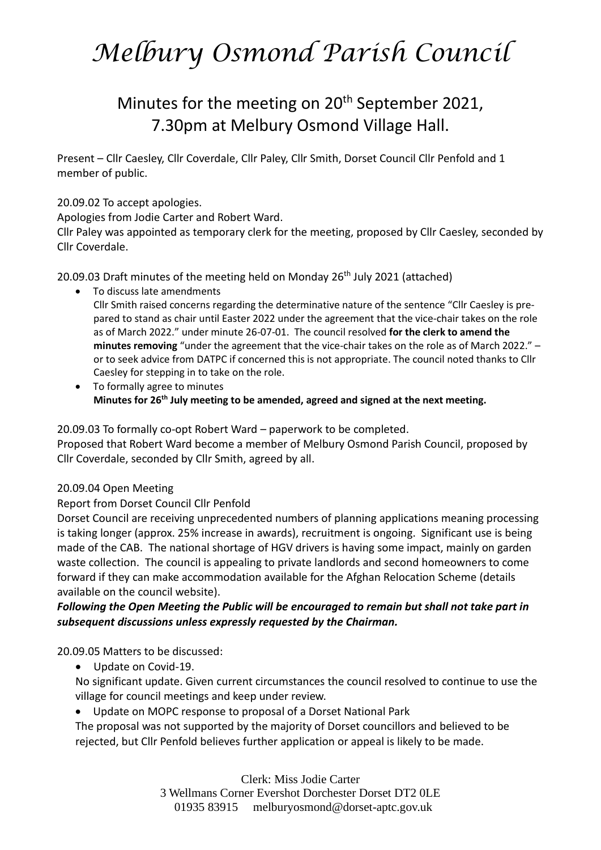# Minutes for the meeting on 20<sup>th</sup> September 2021, 7.30pm at Melbury Osmond Village Hall.

Present – Cllr Caesley, Cllr Coverdale, Cllr Paley, Cllr Smith, Dorset Council Cllr Penfold and 1 member of public.

#### 20.09.02 To accept apologies.

Apologies from Jodie Carter and Robert Ward.

Cllr Paley was appointed as temporary clerk for the meeting, proposed by Cllr Caesley, seconded by Cllr Coverdale.

20.09.03 Draft minutes of the meeting held on Monday 26<sup>th</sup> July 2021 (attached)

- To discuss late amendments Cllr Smith raised concerns regarding the determinative nature of the sentence "Cllr Caesley is prepared to stand as chair until Easter 2022 under the agreement that the vice-chair takes on the role as of March 2022." under minute 26-07-01. The council resolved **for the clerk to amend the minutes removing** "under the agreement that the vice-chair takes on the role as of March 2022." – or to seek advice from DATPC if concerned this is not appropriate. The council noted thanks to Cllr Caesley for stepping in to take on the role.
- To formally agree to minutes **Minutes for 26th July meeting to be amended, agreed and signed at the next meeting.**

20.09.03 To formally co-opt Robert Ward – paperwork to be completed.

Proposed that Robert Ward become a member of Melbury Osmond Parish Council, proposed by Cllr Coverdale, seconded by Cllr Smith, agreed by all.

### 20.09.04 Open Meeting

### Report from Dorset Council Cllr Penfold

Dorset Council are receiving unprecedented numbers of planning applications meaning processing is taking longer (approx. 25% increase in awards), recruitment is ongoing. Significant use is being made of the CAB. The national shortage of HGV drivers is having some impact, mainly on garden waste collection. The council is appealing to private landlords and second homeowners to come forward if they can make accommodation available for the Afghan Relocation Scheme (details available on the council website).

### *Following the Open Meeting the Public will be encouraged to remain but shall not take part in subsequent discussions unless expressly requested by the Chairman.*

20.09.05 Matters to be discussed:

• Update on Covid-19.

No significant update. Given current circumstances the council resolved to continue to use the village for council meetings and keep under review.

• Update on MOPC response to proposal of a Dorset National Park

The proposal was not supported by the majority of Dorset councillors and believed to be rejected, but Cllr Penfold believes further application or appeal is likely to be made.

> Clerk: Miss Jodie Carter 3 Wellmans Corner Evershot Dorchester Dorset DT2 0LE 01935 83915 [melburyosmond@dorset-aptc.gov.uk](mailto:melburyosmond@dorset-aptc.gov.uk)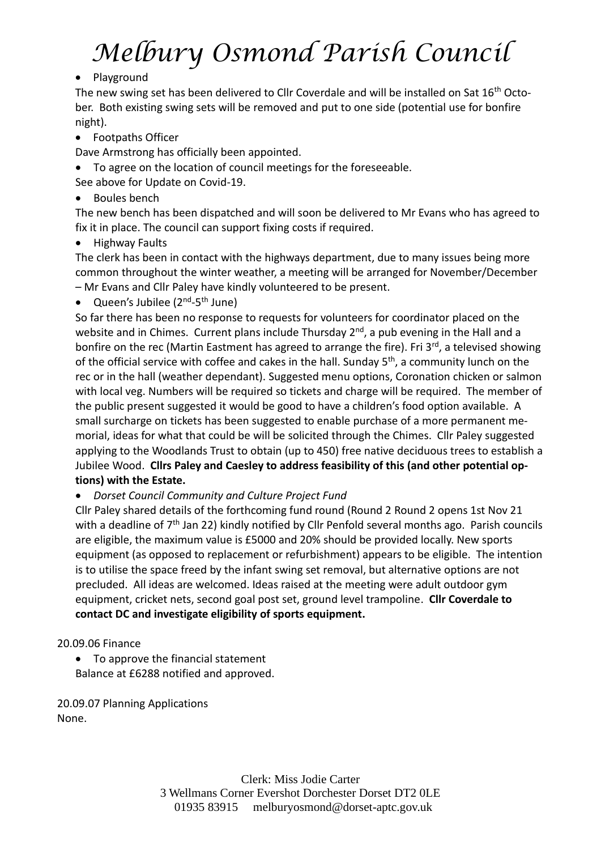## • Playground

The new swing set has been delivered to Cllr Coverdale and will be installed on Sat 16<sup>th</sup> October. Both existing swing sets will be removed and put to one side (potential use for bonfire night).

• Footpaths Officer

Dave Armstrong has officially been appointed.

• To agree on the location of council meetings for the foreseeable.

See above for Update on Covid-19.

• Boules bench

The new bench has been dispatched and will soon be delivered to Mr Evans who has agreed to fix it in place. The council can support fixing costs if required.

• Highway Faults

The clerk has been in contact with the highways department, due to many issues being more common throughout the winter weather, a meeting will be arranged for November/December – Mr Evans and Cllr Paley have kindly volunteered to be present.

• Queen's Jubilee (2<sup>nd</sup>-5<sup>th</sup> June)

So far there has been no response to requests for volunteers for coordinator placed on the website and in Chimes. Current plans include Thursday 2<sup>nd</sup>, a pub evening in the Hall and a bonfire on the rec (Martin Eastment has agreed to arrange the fire). Fri 3<sup>rd</sup>, a televised showing of the official service with coffee and cakes in the hall. Sunday 5<sup>th</sup>, a community lunch on the rec or in the hall (weather dependant). Suggested menu options, Coronation chicken or salmon with local veg. Numbers will be required so tickets and charge will be required. The member of the public present suggested it would be good to have a children's food option available. A small surcharge on tickets has been suggested to enable purchase of a more permanent memorial, ideas for what that could be will be solicited through the Chimes. Cllr Paley suggested applying to the Woodlands Trust to obtain (up to 450) free native deciduous trees to establish a Jubilee Wood. **Cllrs Paley and Caesley to address feasibility of this (and other potential options) with the Estate.**

• *Dorset Council Community and Culture Project Fund*

Cllr Paley shared details of the forthcoming fund round (Round 2 Round 2 opens 1st Nov 21 with a deadline of 7<sup>th</sup> Jan 22) kindly notified by Cllr Penfold several months ago. Parish councils are eligible, the maximum value is £5000 and 20% should be provided locally. New sports equipment (as opposed to replacement or refurbishment) appears to be eligible. The intention is to utilise the space freed by the infant swing set removal, but alternative options are not precluded. All ideas are welcomed. Ideas raised at the meeting were adult outdoor gym equipment, cricket nets, second goal post set, ground level trampoline. **Cllr Coverdale to contact DC and investigate eligibility of sports equipment.**

## 20.09.06 Finance

• To approve the financial statement Balance at £6288 notified and approved.

20.09.07 Planning Applications None.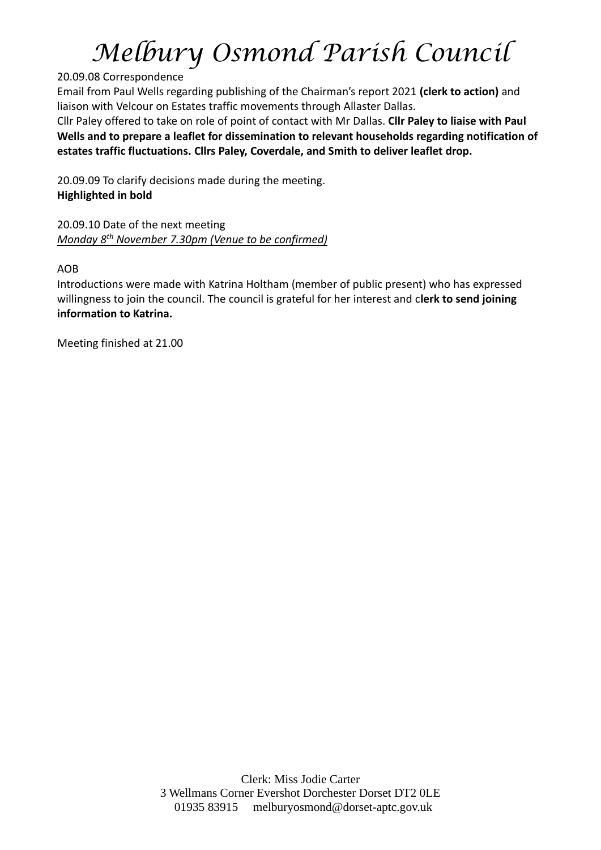### 20.09.08 Correspondence

Email from Paul Wells regarding publishing of the Chairman's report 2021 **(clerk to action)** and liaison with Velcour on Estates traffic movements through Allaster Dallas.

Cllr Paley offered to take on role of point of contact with Mr Dallas. **Cllr Paley to liaise with Paul Wells and to prepare a leaflet for dissemination to relevant households regarding notification of estates traffic fluctuations. Cllrs Paley, Coverdale, and Smith to deliver leaflet drop.**

20.09.09 To clarify decisions made during the meeting. **Highlighted in bold**

20.09.10 Date of the next meeting *Monday 8th November 7.30pm (Venue to be confirmed)*

AOB

Introductions were made with Katrina Holtham (member of public present) who has expressed willingness to join the council. The council is grateful for her interest and c**lerk to send joining information to Katrina.**

Meeting finished at 21.00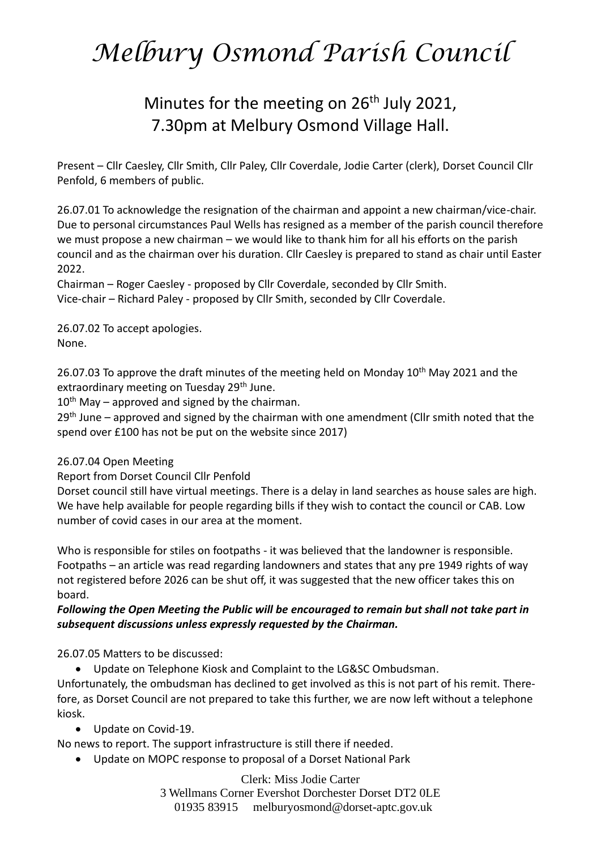# Minutes for the meeting on  $26<sup>th</sup>$  July 2021, 7.30pm at Melbury Osmond Village Hall.

Present – Cllr Caesley, Cllr Smith, Cllr Paley, Cllr Coverdale, Jodie Carter (clerk), Dorset Council Cllr Penfold, 6 members of public.

26.07.01 To acknowledge the resignation of the chairman and appoint a new chairman/vice-chair. Due to personal circumstances Paul Wells has resigned as a member of the parish council therefore we must propose a new chairman – we would like to thank him for all his efforts on the parish council and as the chairman over his duration. Cllr Caesley is prepared to stand as chair until Easter 2022.

Chairman – Roger Caesley - proposed by Cllr Coverdale, seconded by Cllr Smith. Vice-chair – Richard Paley - proposed by Cllr Smith, seconded by Cllr Coverdale.

26.07.02 To accept apologies. None.

26.07.03 To approve the draft minutes of the meeting held on Monday 10<sup>th</sup> May 2021 and the extraordinary meeting on Tuesday 29<sup>th</sup> June.

 $10^{th}$  May – approved and signed by the chairman.

 $29<sup>th</sup>$  June – approved and signed by the chairman with one amendment (Cllr smith noted that the spend over £100 has not be put on the website since 2017)

### 26.07.04 Open Meeting

Report from Dorset Council Cllr Penfold

Dorset council still have virtual meetings. There is a delay in land searches as house sales are high. We have help available for people regarding bills if they wish to contact the council or CAB. Low number of covid cases in our area at the moment.

Who is responsible for stiles on footpaths - it was believed that the landowner is responsible. Footpaths – an article was read regarding landowners and states that any pre 1949 rights of way not registered before 2026 can be shut off, it was suggested that the new officer takes this on board.

### *Following the Open Meeting the Public will be encouraged to remain but shall not take part in subsequent discussions unless expressly requested by the Chairman.*

26.07.05 Matters to be discussed:

• Update on Telephone Kiosk and Complaint to the LG&SC Ombudsman.

Unfortunately, the ombudsman has declined to get involved as this is not part of his remit. Therefore, as Dorset Council are not prepared to take this further, we are now left without a telephone kiosk.

• Update on Covid-19.

No news to report. The support infrastructure is still there if needed.

• Update on MOPC response to proposal of a Dorset National Park

Clerk: Miss Jodie Carter 3 Wellmans Corner Evershot Dorchester Dorset DT2 0LE 01935 83915 [melburyosmond@dorset-aptc.gov.uk](mailto:melburyosmond@dorset-aptc.gov.uk)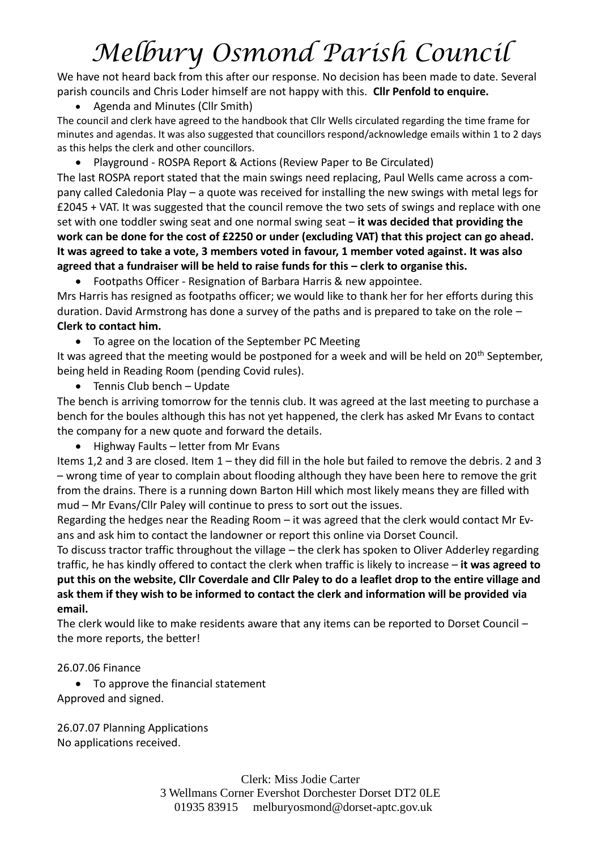We have not heard back from this after our response. No decision has been made to date. Several parish councils and Chris Loder himself are not happy with this. **Cllr Penfold to enquire.**

• Agenda and Minutes (Cllr Smith)

The council and clerk have agreed to the handbook that Cllr Wells circulated regarding the time frame for minutes and agendas. It was also suggested that councillors respond/acknowledge emails within 1 to 2 days as this helps the clerk and other councillors.

• Playground - ROSPA Report & Actions (Review Paper to Be Circulated)

The last ROSPA report stated that the main swings need replacing, Paul Wells came across a company called Caledonia Play – a quote was received for installing the new swings with metal legs for £2045 + VAT. It was suggested that the council remove the two sets of swings and replace with one set with one toddler swing seat and one normal swing seat – **it was decided that providing the work can be done for the cost of £2250 or under (excluding VAT) that this project can go ahead. It was agreed to take a vote, 3 members voted in favour, 1 member voted against. It was also agreed that a fundraiser will be held to raise funds for this – clerk to organise this.** 

• Footpaths Officer - Resignation of Barbara Harris & new appointee.

Mrs Harris has resigned as footpaths officer; we would like to thank her for her efforts during this duration. David Armstrong has done a survey of the paths and is prepared to take on the role – **Clerk to contact him.**

• To agree on the location of the September PC Meeting

It was agreed that the meeting would be postponed for a week and will be held on  $20<sup>th</sup>$  September, being held in Reading Room (pending Covid rules).

• Tennis Club bench – Update

The bench is arriving tomorrow for the tennis club. It was agreed at the last meeting to purchase a bench for the boules although this has not yet happened, the clerk has asked Mr Evans to contact the company for a new quote and forward the details.

• Highway Faults – letter from Mr Evans

Items 1,2 and 3 are closed. Item 1 – they did fill in the hole but failed to remove the debris. 2 and 3 – wrong time of year to complain about flooding although they have been here to remove the grit from the drains. There is a running down Barton Hill which most likely means they are filled with mud – Mr Evans/Cllr Paley will continue to press to sort out the issues.

Regarding the hedges near the Reading Room – it was agreed that the clerk would contact Mr Evans and ask him to contact the landowner or report this online via Dorset Council.

To discuss tractor traffic throughout the village – the clerk has spoken to Oliver Adderley regarding traffic, he has kindly offered to contact the clerk when traffic is likely to increase – **it was agreed to put this on the website, Cllr Coverdale and Cllr Paley to do a leaflet drop to the entire village and ask them if they wish to be informed to contact the clerk and information will be provided via email.**

The clerk would like to make residents aware that any items can be reported to Dorset Council – the more reports, the better!

### 26.07.06 Finance

• To approve the financial statement Approved and signed.

26.07.07 Planning Applications No applications received.

> Clerk: Miss Jodie Carter 3 Wellmans Corner Evershot Dorchester Dorset DT2 0LE 01935 83915 [melburyosmond@dorset-aptc.gov.uk](mailto:melburyosmond@dorset-aptc.gov.uk)